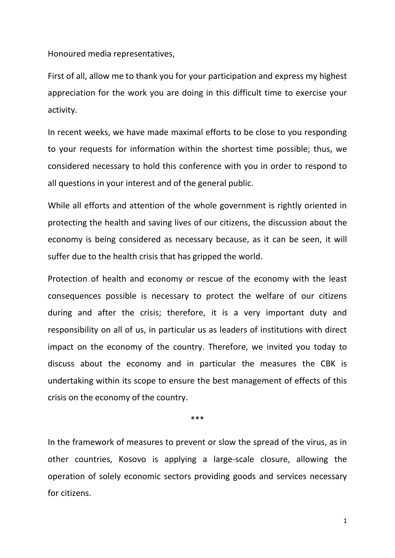Honoured media representatives,

First of all, allow me to thank you for your participation and express my highest appreciation for the work you are doing in this difficult time to exercise your activity.

In recent weeks, we have made maximal efforts to be close to you responding to your requests for information within the shortest time possible; thus, we considered necessary to hold this conference with you in order to respond to all questions in your interest and of the general public.

While all efforts and attention of the whole government is rightly oriented in protecting the health and saving lives of our citizens, the discussion about the economy is being considered as necessary because, as it can be seen, it will suffer due to the health crisis that has gripped the world.

Protection of health and economy or rescue of the economy with the least consequences possible is necessary to protect the welfare of our citizens during and after the crisis; therefore, it is a very important duty and responsibility on all of us, in particular us as leaders of institutions with direct impact on the economy of the country. Therefore, we invited you today to discuss about the economy and in particular the measures the CBK is undertaking within its scope to ensure the best management of effects of this crisis on the economy of the country.

\*\*\*

In the framework of measures to prevent or slow the spread of the virus, as in other countries, Kosovo is applying a large-scale closure, allowing the operation of solely economic sectors providing goods and services necessary for citizens.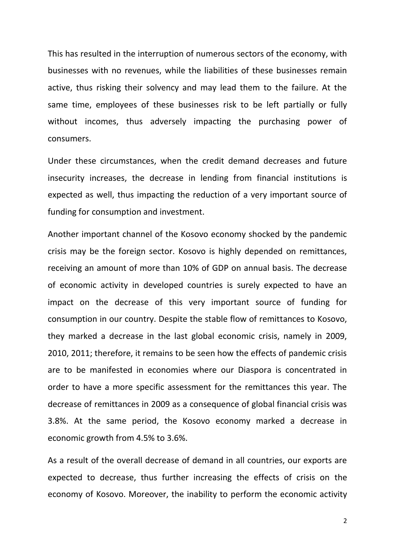This has resulted in the interruption of numerous sectors of the economy, with businesses with no revenues, while the liabilities of these businesses remain active, thus risking their solvency and may lead them to the failure. At the same time, employees of these businesses risk to be left partially or fully without incomes, thus adversely impacting the purchasing power of consumers.

Under these circumstances, when the credit demand decreases and future insecurity increases, the decrease in lending from financial institutions is expected as well, thus impacting the reduction of a very important source of funding for consumption and investment.

Another important channel of the Kosovo economy shocked by the pandemic crisis may be the foreign sector. Kosovo is highly depended on remittances, receiving an amount of more than 10% of GDP on annual basis. The decrease of economic activity in developed countries is surely expected to have an impact on the decrease of this very important source of funding for consumption in our country. Despite the stable flow of remittances to Kosovo, they marked a decrease in the last global economic crisis, namely in 2009, 2010, 2011; therefore, it remains to be seen how the effects of pandemic crisis are to be manifested in economies where our Diaspora is concentrated in order to have a more specific assessment for the remittances this year. The decrease of remittances in 2009 as a consequence of global financial crisis was 3.8%. At the same period, the Kosovo economy marked a decrease in economic growth from 4.5% to 3.6%.

As a result of the overall decrease of demand in all countries, our exports are expected to decrease, thus further increasing the effects of crisis on the economy of Kosovo. Moreover, the inability to perform the economic activity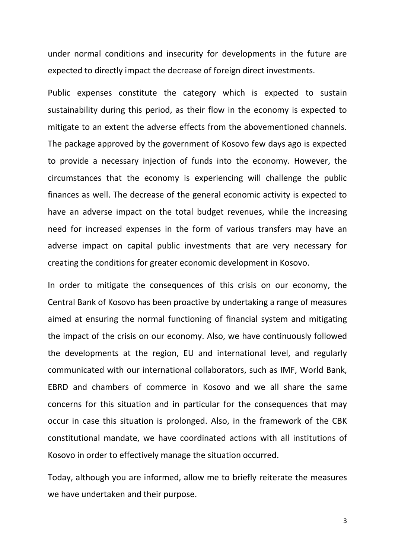under normal conditions and insecurity for developments in the future are expected to directly impact the decrease of foreign direct investments.

Public expenses constitute the category which is expected to sustain sustainability during this period, as their flow in the economy is expected to mitigate to an extent the adverse effects from the abovementioned channels. The package approved by the government of Kosovo few days ago is expected to provide a necessary injection of funds into the economy. However, the circumstances that the economy is experiencing will challenge the public finances as well. The decrease of the general economic activity is expected to have an adverse impact on the total budget revenues, while the increasing need for increased expenses in the form of various transfers may have an adverse impact on capital public investments that are very necessary for creating the conditions for greater economic development in Kosovo.

In order to mitigate the consequences of this crisis on our economy, the Central Bank of Kosovo has been proactive by undertaking a range of measures aimed at ensuring the normal functioning of financial system and mitigating the impact of the crisis on our economy. Also, we have continuously followed the developments at the region, EU and international level, and regularly communicated with our international collaborators, such as IMF, World Bank, EBRD and chambers of commerce in Kosovo and we all share the same concerns for this situation and in particular for the consequences that may occur in case this situation is prolonged. Also, in the framework of the CBK constitutional mandate, we have coordinated actions with all institutions of Kosovo in order to effectively manage the situation occurred.

Today, although you are informed, allow me to briefly reiterate the measures we have undertaken and their purpose.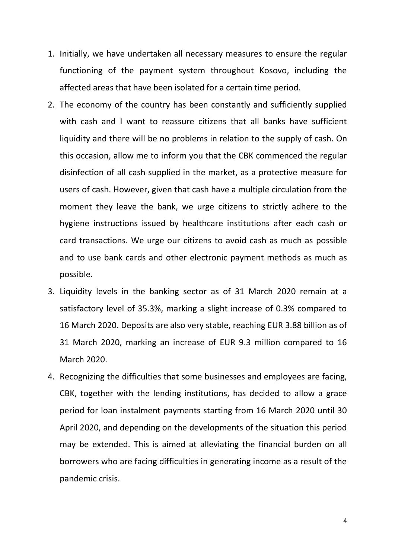- 1. Initially, we have undertaken all necessary measures to ensure the regular functioning of the payment system throughout Kosovo, including the affected areas that have been isolated for a certain time period.
- 2. The economy of the country has been constantly and sufficiently supplied with cash and I want to reassure citizens that all banks have sufficient liquidity and there will be no problems in relation to the supply of cash. On this occasion, allow me to inform you that the CBK commenced the regular disinfection of all cash supplied in the market, as a protective measure for users of cash. However, given that cash have a multiple circulation from the moment they leave the bank, we urge citizens to strictly adhere to the hygiene instructions issued by healthcare institutions after each cash or card transactions. We urge our citizens to avoid cash as much as possible and to use bank cards and other electronic payment methods as much as possible.
- 3. Liquidity levels in the banking sector as of 31 March 2020 remain at a satisfactory level of 35.3%, marking a slight increase of 0.3% compared to 16 March 2020. Deposits are also very stable, reaching EUR 3.88 billion as of 31 March 2020, marking an increase of EUR 9.3 million compared to 16 March 2020.
- 4. Recognizing the difficulties that some businesses and employees are facing, CBK, together with the lending institutions, has decided to allow a grace period for loan instalment payments starting from 16 March 2020 until 30 April 2020, and depending on the developments of the situation this period may be extended. This is aimed at alleviating the financial burden on all borrowers who are facing difficulties in generating income as a result of the pandemic crisis.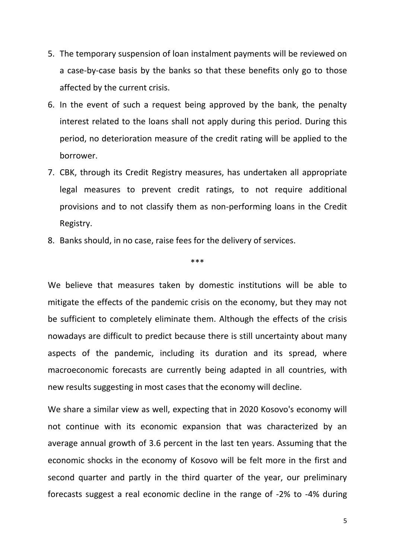- 5. The temporary suspension of loan instalment payments will be reviewed on a case-by-case basis by the banks so that these benefits only go to those affected by the current crisis.
- 6. In the event of such a request being approved by the bank, the penalty interest related to the loans shall not apply during this period. During this period, no deterioration measure of the credit rating will be applied to the borrower.
- 7. CBK, through its Credit Registry measures, has undertaken all appropriate legal measures to prevent credit ratings, to not require additional provisions and to not classify them as non-performing loans in the Credit Registry.
- 8. Banks should, in no case, raise fees for the delivery of services.

## \*\*\*

We believe that measures taken by domestic institutions will be able to mitigate the effects of the pandemic crisis on the economy, but they may not be sufficient to completely eliminate them. Although the effects of the crisis nowadays are difficult to predict because there is still uncertainty about many aspects of the pandemic, including its duration and its spread, where macroeconomic forecasts are currently being adapted in all countries, with new results suggesting in most cases that the economy will decline.

We share a similar view as well, expecting that in 2020 Kosovo's economy will not continue with its economic expansion that was characterized by an average annual growth of 3.6 percent in the last ten years. Assuming that the economic shocks in the economy of Kosovo will be felt more in the first and second quarter and partly in the third quarter of the year, our preliminary forecasts suggest a real economic decline in the range of -2% to -4% during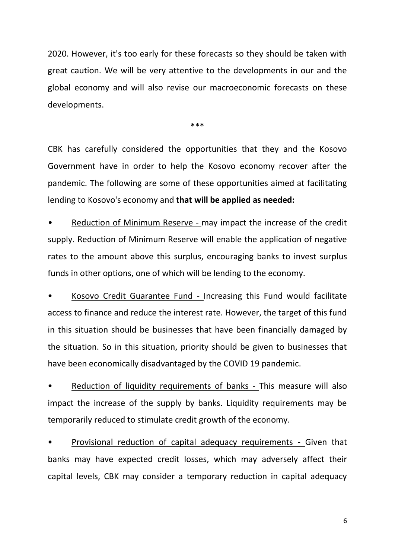2020. However, it's too early for these forecasts so they should be taken with great caution. We will be very attentive to the developments in our and the global economy and will also revise our macroeconomic forecasts on these developments.

\*\*\*

CBK has carefully considered the opportunities that they and the Kosovo Government have in order to help the Kosovo economy recover after the pandemic. The following are some of these opportunities aimed at facilitating lending to Kosovo's economy and **that will be applied as needed:**

*•* Reduction of Minimum Reserve - may impact the increase of the credit supply. Reduction of Minimum Reserve will enable the application of negative rates to the amount above this surplus, encouraging banks to invest surplus funds in other options, one of which will be lending to the economy.

• Kosovo Credit Guarantee Fund - Increasing this Fund would facilitate access to finance and reduce the interest rate. However, the target of this fund in this situation should be businesses that have been financially damaged by the situation. So in this situation, priority should be given to businesses that have been economically disadvantaged by the COVID 19 pandemic.

Reduction of liquidity requirements of banks - This measure will also impact the increase of the supply by banks. Liquidity requirements may be temporarily reduced to stimulate credit growth of the economy.

• Provisional reduction of capital adequacy requirements - Given that banks may have expected credit losses, which may adversely affect their capital levels, CBK may consider a temporary reduction in capital adequacy